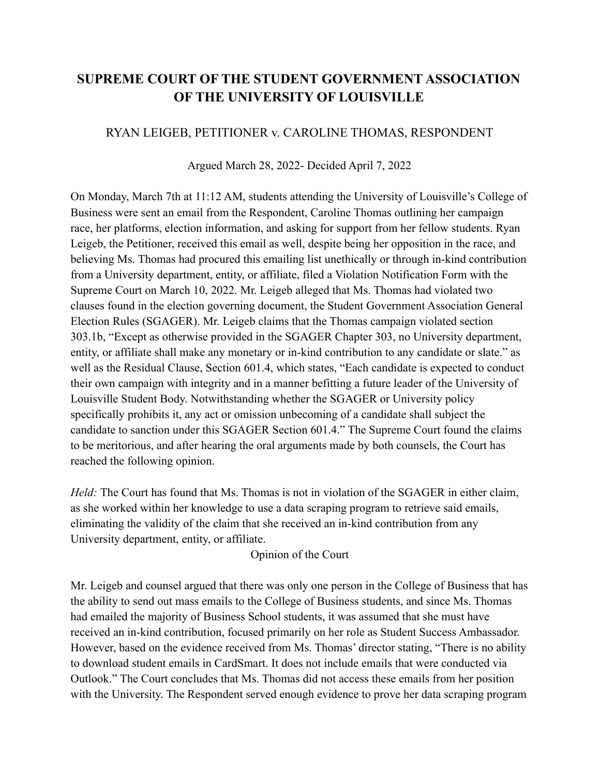## **SUPREME COURT OF THE STUDENT GOVERNMENT ASSOCIATION OF THE UNIVERSITY OF LOUISVILLE**

## RYAN LEIGEB, PETITIONER v. CAROLINE THOMAS, RESPONDENT

Argued March 28, 2022- Decided April 7, 2022

On Monday, March 7th at 11:12 AM, students attending the University of Louisville's College of Business were sent an email from the Respondent, Caroline Thomas outlining her campaign race, her platforms, election information, and asking for support from her fellow students. Ryan Leigeb, the Petitioner, received this email as well, despite being her opposition in the race, and believing Ms. Thomas had procured this emailing list unethically or through in-kind contribution from a University department, entity, or affiliate, filed a Violation Notification Form with the Supreme Court on March 10, 2022. Mr. Leigeb alleged that Ms. Thomas had violated two clauses found in the election governing document, the Student Government Association General Election Rules (SGAGER). Mr. Leigeb claims that the Thomas campaign violated section 303.1b, "Except as otherwise provided in the SGAGER Chapter 303, no University department, entity, or affiliate shall make any monetary or in-kind contribution to any candidate or slate." as well as the Residual Clause, Section 601.4, which states, "Each candidate is expected to conduct their own campaign with integrity and in a manner befitting a future leader of the University of Louisville Student Body. Notwithstanding whether the SGAGER or University policy specifically prohibits it, any act or omission unbecoming of a candidate shall subject the candidate to sanction under this SGAGER Section 601.4." The Supreme Court found the claims to be meritorious, and after hearing the oral arguments made by both counsels, the Court has reached the following opinion.

*Held:* The Court has found that Ms. Thomas is not in violation of the SGAGER in either claim, as she worked within her knowledge to use a data scraping program to retrieve said emails, eliminating the validity of the claim that she received an in-kind contribution from any University department, entity, or affiliate.

## Opinion of the Court

Mr. Leigeb and counsel argued that there was only one person in the College of Business that has the ability to send out mass emails to the College of Business students, and since Ms. Thomas had emailed the majority of Business School students, it was assumed that she must have received an in-kind contribution, focused primarily on her role as Student Success Ambassador. However, based on the evidence received from Ms. Thomas' director stating, "There is no ability to download student emails in CardSmart. It does not include emails that were conducted via Outlook." The Court concludes that Ms. Thomas did not access these emails from her position with the University. The Respondent served enough evidence to prove her data scraping program